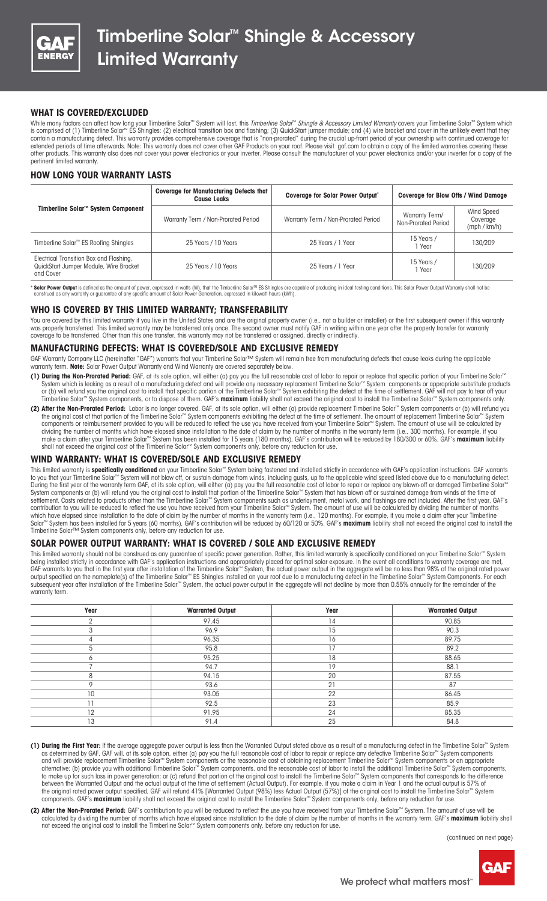

# **WHAT IS COVERED/EXCLUDED**

While many factors can affect how long your Timberline Solar™ System will last, this *Timberline Solar*™ *Shingle & Accessory Limited Warranty* covers your Timberline Solar™ System which is comprised of (1) Timberline Solar™ ES Shingles; (2) electrical transition box and flashing; (3) QuickStart jumper module; and (4) wire bracket and cover in the unlikely event that they contain a manufacturing defect. This warranty provides comprehensive coverage that is "non-prorated" during the crucial up-front period of your ownership with continued coverage for extended periods of time afterwards. Note: This warranty does not cover other GAF Products on your roof. Please visit gaf.com to obtain a copy of the limited warranties covering these other products. This warranty also does not cover your power electronics or your inverter. Please consult the manufacturer of your power electronics and/or your inverter for a copy of the pertinent limited warranty.

### **HOW LONG YOUR WARRANTY LASTS**

| Timberline Solar <sup>™</sup> System Component                                                 | <b>Coverage for Manufacturing Defects that</b><br><b>Cause Leaks</b> | <b>Coverage for Solar Power Output*</b> | <b>Coverage for Blow Offs / Wind Damage</b> |                                        |
|------------------------------------------------------------------------------------------------|----------------------------------------------------------------------|-----------------------------------------|---------------------------------------------|----------------------------------------|
|                                                                                                | Warranty Term / Non-Prorated Period                                  | Warranty Term / Non-Prorated Period     | Warranty Term/<br>Non-Prorated Period       | Wind Speed<br>Coverage<br>(mph / km/h) |
| Timberline Solar <sup>™</sup> ES Roofing Shingles                                              | 25 Years / 10 Years                                                  | 25 Years / 1 Year                       | 15 Years /<br>l Year                        | 130/209                                |
| Electrical Transition Box and Flashing,<br>QuickStart Jumper Module, Wire Bracket<br>and Cover | 25 Years / 10 Years                                                  | 25 Years / 1 Year                       | 15 Years /<br>I Year                        | 130/209                                |

\* Solar Power Output is defined as the amount of power, expressed in watts (W), that the Timberline Solar™ ES Shingles are capable of producing in ideal testing conditions. This Solar Power Output Warranty shall not be<br>con

## **WHO IS COVERED BY THIS LIMITED WARRANTY; TRANSFERABILITY**

You are covered by this limited warranty if you live in the United States and are the original property owner (i.e., not a builder or installer) or the first subsequent owner if this warranty was properly transferred. This limited warranty may be transferred only once. The second owner must notify GAF in writing within one year after the property transfer for warranty coverage to be transferred. Other than this one transfer, this warranty may not be transferred or assigned, directly or indirectly.

## **MANUFACTURING DEFECTS: WHAT IS COVERED/SOLE AND EXCLUSIVE REMEDY**

GAF Warranty Company LLC (hereinafter "GAF") warrants that your Timberline Solar™ System will remain free from manufacturing defects that cause leaks during the applicable warranty term. **Note:** Solar Power Output Warranty and Wind Warranty are covered separately below.

- **(1) During the Non-Prorated Period:** GAF, at its sole option, will either (a) pay you the full reasonable cost of labor to repair or replace that specific portion of your Timberline Solar™ System which is leaking as a result of a manufacturing defect and will provide any necessary replacement Timberline Solar™ System components or appropriate substitute products or (b) will refund you the original cost to install that specific portion of the Timberline Solar™ System exhibiting the defect at the time of settlement. GAF will not pay to tear off your Timberline Solar™ System components, or to dispose of them. GAF's **maximum** liability shall not exceed the original cost to install the Timberline Solar™ System components only.
- (2) After the Non-Prorated Period: Labor is no longer covered. GAF, at its sole option, will either (a) provide replacement Timberline Solar™ System components or (b) will refund you the original cost of that portion of the Timberline Solar™ System components exhibiting the defect at the time of settlement. The amount of replacement Timberline Solar™ System components or reimbursement provided to you will be reduced to reflect the use you have received from your Timberline Solar™ System. The amount of use will be calculated by dividing the number of months which have elapsed since installation to the date of claim by the number of months in the warranty term (i.e., 300 months). For example, if you make a claim after your Timberline Solar™ System has been installed for 15 years (180 months), GAF's contribution will be reduced by 180/300 or 60%. GAF's **maximum** liability shall not exceed the original cost of the Timberline Solar™ System components only, before any reduction for use.

## **WIND WARRANTY: WHAT IS COVERED/SOLE AND EXCLUSIVE REMEDY**

This limited warranty is specifically conditioned on your Timberline Solar™ System being fastened and installed strictly in accordance with GAF's application instructions. GAF warrants to you that your Timberline Solar™ System will not blow off, or sustain damage from winds, including gusts, up to the applicable wind speed listed above due to a manufacturing defect. During the first year of the warranty term GAF, at its sole option, will either (a) pay you the full reasonable cost of labor to repair or replace any blown-off or damaged Timberline Solar™ System components or (b) will refund you the original cost to install that portion of the Timberline Solar™ System that has blown off or sustained damage from winds at the time of settlement. Costs related to products other than the Timberline Solar™ System components such as underlayment, metal work, and flashings are not included. After the first year, GAF's contribution to you will be reduced to reflect the use you have received from your Timberline Solar™ System. The amount of use will be calculated by dividing the number of months which have elapsed since installation to the date of claim by the number of months in the warranty term (i.e., 120 months). For example, if you make a claim after your Timberline Solar™ System has been installed for 5 years (60 months), GAF's contribution will be reduced by 60/120 or 50%. GAF's **maximum** liability shall not exceed the original cost to install the Timberline Solar™ System components only, before any reduction for use.

#### **SOLAR POWER OUTPUT WARRANTY: WHAT IS COVERED / SOLE AND EXCLUSIVE REMEDY**

This limited warranty should not be construed as any guarantee of specific power generation. Rather, this limited warranty is specifically conditioned on your Timberline Solar<sup>™</sup> System being installed strictly in accordance with GAF's application instructions and appropriately placed for optimal solar exposure. In the event all conditions to warranty coverage are met, GAF warrants to you that in the first year after installation of the Timberline Solar™ System, the actual power output in the aggregate will be no less than 98% of the original rated power output specified on the nameplate(s) of the Timberline Solar™ ES Shingles installed on your roof due to a manufacturing defect in the Timberline Solar™ System Components. For each subsequent year after installation of the Timberline Solar™ System, the actual power output in the aggregate will not decline by more than 0.55% annually for the remainder of the warranty term.

| Year      | <b>Warranted Output</b> | Year | <b>Warranted Output</b> |  |  |
|-----------|-------------------------|------|-------------------------|--|--|
|           | 97.45                   | 14   | 90.85                   |  |  |
|           | 96.9                    | 15   | 90.3                    |  |  |
|           | 96.35                   | 16   | 89.75                   |  |  |
|           | 95.8                    | 77   | 89.2                    |  |  |
|           | 95.25                   | 18   | 88.65                   |  |  |
|           | 94.7                    | 19   | 88.1                    |  |  |
|           | 94.15                   | 20   | 87.55                   |  |  |
|           | 93.6                    | 21   | 87                      |  |  |
| 10        | 93.05                   | 22   | 86.45                   |  |  |
| <b>11</b> | 92.5                    | 23   | 85.9                    |  |  |
| 12        | 91.95                   | 24   | 85.35                   |  |  |
| 13        | 91.4                    | 25   | 84.8                    |  |  |

- **(1) During the First Year:** If the average aggregate power output is less than the Warranted Output stated above as a result of a manufacturing defect in the Timberline Solar™ System as determined by GAF, GAF will, at its sole option, either (a) pay you the full reasonable cost of labor to repair or replace any defective Timberline Solar™ System components and will provide replacement Timberline Solar™ System components or the reasonable cost of obtaining replacement Timberline Solar™ System components or an appropriate alternative; (b) provide you with additional Timberline Solar™ System components, and the reasonable cost of labor to install the additional Timberline Solar™ System components, to make up for such loss in power generation; or (c) refund that portion of the original cost to install the Timberline Solar™ System components that corresponds to the difference between the Warranted Output and the actual output at the time of settlement (Actual Output). For example, if you make a claim in Year 1 and the actual output is 57% of the original rated power output specified, GAF will refund 41% [Warranted Output (98%) less Actual Output (57%)] of the original cost to install the Timberline Solar™ System components. GAF's **maximum** liability shall not exceed the original cost to install the Timberline Solar™ System components only, before any reduction for use.
- **(2) After the Non-Prorated Period:** GAF's contribution to you will be reduced to reflect the use you have received from your Timberline Solar™ System. The amount of use will be calculated by dividing the number of months which have elapsed since installation to the date of claim by the number of months in the warranty term. GAF's **maximum** liability shall not exceed the original cost to install the Timberline Solar™ System components only, before any reduction for use.

(continued on next page)